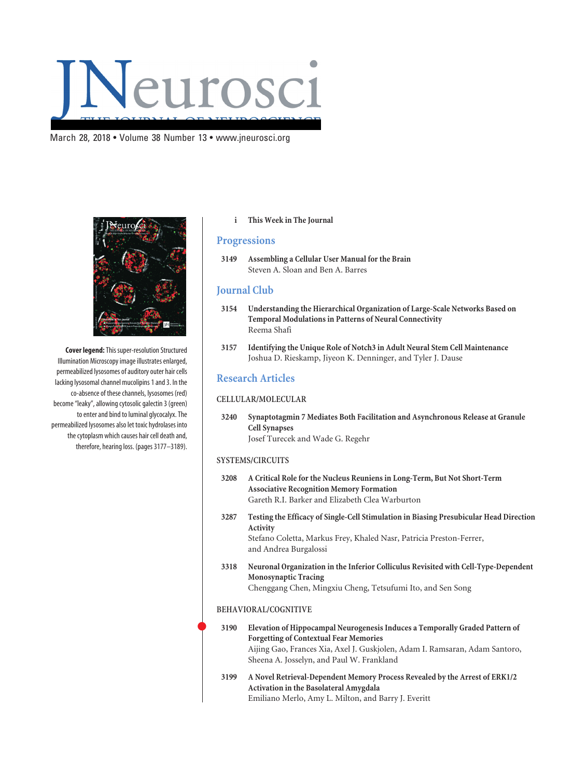## March 28, 2018 • Volume 38 Number 13 • www.jneurosci.org



**Cover legend:**This super-resolution Structured Illumination Microscopy image illustrates enlarged, permeabilized lysosomes of auditory outer hair cells lacking lysosomal channel mucolipins 1 and 3. In the co-absence of these channels, lysosomes (red) become "leaky", allowing cytosolic galectin 3 (green) to enter and bind to luminal glycocalyx. The permeabilized lysosomes also let toxic hydrolases into the cytoplasm which causes hair cell death and, therefore, hearing loss. (pages 3177–3189).

### **i This Week in The Journal**

# **Progressions**

**3149 Assembling a Cellular User Manual for the Brain** Steven A. Sloan and Ben A. Barres

## **Journal Club**

- **3154 Understanding the Hierarchical Organization of Large-Scale Networks Based on Temporal Modulations in Patterns of Neural Connectivity** Reema Shafi
- **3157 Identifying the Unique Role of Notch3 in Adult Neural Stem Cell Maintenance** Joshua D. Rieskamp, Jiyeon K. Denninger, and Tyler J. Dause

# **Research Articles**

## **CELLULAR/MOLECULAR**

**3240 Synaptotagmin 7 Mediates Both Facilitation and Asynchronous Release at Granule Cell Synapses** Josef Turecek and Wade G. Regehr

#### **SYSTEMS/CIRCUITS**

- **3208 A Critical Role for the Nucleus Reuniens in Long-Term, But Not Short-Term Associative Recognition Memory Formation** Gareth R.I. Barker and Elizabeth Clea Warburton
- **3287 Testing the Efficacy of Single-Cell Stimulation in Biasing Presubicular Head Direction Activity** Stefano Coletta, Markus Frey, Khaled Nasr, Patricia Preston-Ferrer, and Andrea Burgalossi
- **3318 Neuronal Organization in the Inferior Colliculus Revisited with Cell-Type-Dependent Monosynaptic Tracing** Chenggang Chen, Mingxiu Cheng, Tetsufumi Ito, and Sen Song

#### **BEHAVIORAL/COGNITIVE**

 $\bullet$ 

- **3190 Elevation of Hippocampal Neurogenesis Induces a Temporally Graded Pattern of Forgetting of Contextual Fear Memories** Aijing Gao, Frances Xia, Axel J. Guskjolen, Adam I. Ramsaran, Adam Santoro, Sheena A. Josselyn, and Paul W. Frankland
- **3199 A Novel Retrieval-Dependent Memory Process Revealed by the Arrest of ERK1/2 Activation in the Basolateral Amygdala** Emiliano Merlo, Amy L. Milton, and Barry J. Everitt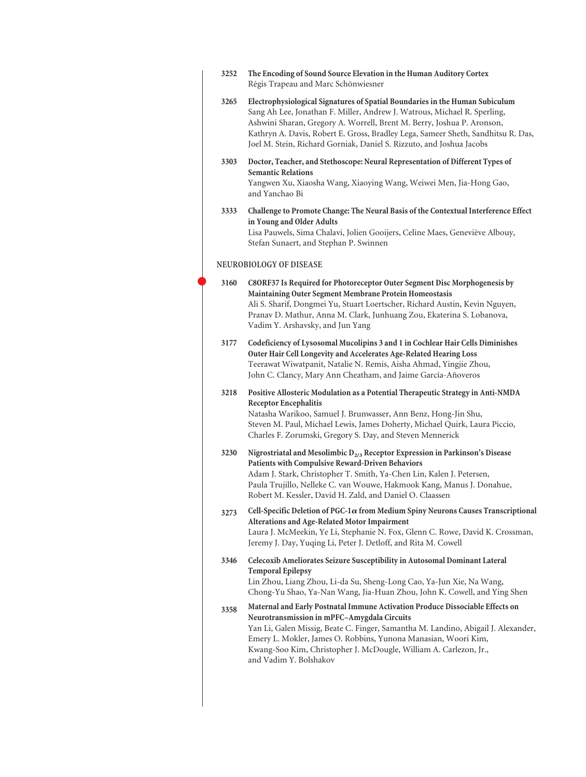| 3252 | The Encoding of Sound Source Elevation in the Human Auditory Cortex<br>Régis Trapeau and Marc Schönwiesner                                                                                                                                                                                                                                                                                     |
|------|------------------------------------------------------------------------------------------------------------------------------------------------------------------------------------------------------------------------------------------------------------------------------------------------------------------------------------------------------------------------------------------------|
| 3265 | Electrophysiological Signatures of Spatial Boundaries in the Human Subiculum<br>Sang Ah Lee, Jonathan F. Miller, Andrew J. Watrous, Michael R. Sperling,<br>Ashwini Sharan, Gregory A. Worrell, Brent M. Berry, Joshua P. Aronson,<br>Kathryn A. Davis, Robert E. Gross, Bradley Lega, Sameer Sheth, Sandhitsu R. Das,<br>Joel M. Stein, Richard Gorniak, Daniel S. Rizzuto, and Joshua Jacobs |
| 3303 | Doctor, Teacher, and Stethoscope: Neural Representation of Different Types of<br><b>Semantic Relations</b><br>Yangwen Xu, Xiaosha Wang, Xiaoying Wang, Weiwei Men, Jia-Hong Gao,<br>and Yanchao Bi                                                                                                                                                                                             |
| 3333 | Challenge to Promote Change: The Neural Basis of the Contextual Interference Effect<br>in Young and Older Adults<br>Lisa Pauwels, Sima Chalavi, Jolien Gooijers, Celine Maes, Geneviève Albouy,<br>Stefan Sunaert, and Stephan P. Swinnen                                                                                                                                                      |
|      | NEUROBIOLOGY OF DISEASE                                                                                                                                                                                                                                                                                                                                                                        |
| 3160 | C8ORF37 Is Required for Photoreceptor Outer Segment Disc Morphogenesis by<br>Maintaining Outer Segment Membrane Protein Homeostasis<br>Ali S. Sharif, Dongmei Yu, Stuart Loertscher, Richard Austin, Kevin Nguyen,<br>Pranav D. Mathur, Anna M. Clark, Junhuang Zou, Ekaterina S. Lobanova,<br>Vadim Y. Arshavsky, and Jun Yang                                                                |
| 3177 | Codeficiency of Lysosomal Mucolipins 3 and 1 in Cochlear Hair Cells Diminishes<br>Outer Hair Cell Longevity and Accelerates Age-Related Hearing Loss<br>Teerawat Wiwatpanit, Natalie N. Remis, Aisha Ahmad, Yingjie Zhou,<br>John C. Clancy, Mary Ann Cheatham, and Jaime García-Añoveros                                                                                                      |
| 3218 | Positive Allosteric Modulation as a Potential Therapeutic Strategy in Anti-NMDA<br><b>Receptor Encephalitis</b><br>Natasha Warikoo, Samuel J. Brunwasser, Ann Benz, Hong-Jin Shu,<br>Steven M. Paul, Michael Lewis, James Doherty, Michael Quirk, Laura Piccio,<br>Charles F. Zorumski, Gregory S. Day, and Steven Mennerick                                                                   |
| 3230 | Nigrostriatal and Mesolimbic $D_{2/3}$ Receptor Expression in Parkinson's Disease<br>Patients with Compulsive Reward-Driven Behaviors<br>Adam J. Stark, Christopher T. Smith, Ya-Chen Lin, Kalen J. Petersen,<br>Paula Trujillo, Nelleke C. van Wouwe, Hakmook Kang, Manus J. Donahue,<br>Robert M. Kessler, David H. Zald, and Daniel O. Claassen                                             |
| 3273 | Cell-Specific Deletion of PGC-1 $\alpha$ from Medium Spiny Neurons Causes Transcriptional<br>Alterations and Age-Related Motor Impairment<br>Laura J. McMeekin, Ye Li, Stephanie N. Fox, Glenn C. Rowe, David K. Crossman,<br>Jeremy J. Day, Yuqing Li, Peter J. Detloff, and Rita M. Cowell                                                                                                   |
| 3346 | Celecoxib Ameliorates Seizure Susceptibility in Autosomal Dominant Lateral<br><b>Temporal Epilepsy</b><br>Lin Zhou, Liang Zhou, Li-da Su, Sheng-Long Cao, Ya-Jun Xie, Na Wang,<br>Chong-Yu Shao, Ya-Nan Wang, Jia-Huan Zhou, John K. Cowell, and Ying Shen                                                                                                                                     |
| 3358 | Maternal and Early Postnatal Immune Activation Produce Dissociable Effects on<br>Neurotransmission in mPFC-Amygdala Circuits<br>Yan Li, Galen Missig, Beate C. Finger, Samantha M. Landino, Abigail J. Alexander,<br>Emery L. Mokler, James O. Robbins, Yunona Manasian, Woori Kim,<br>Kwang-Soo Kim, Christopher J. McDougle, William A. Carlezon, Jr.,<br>and Vadim Y. Bolshakov             |
|      |                                                                                                                                                                                                                                                                                                                                                                                                |